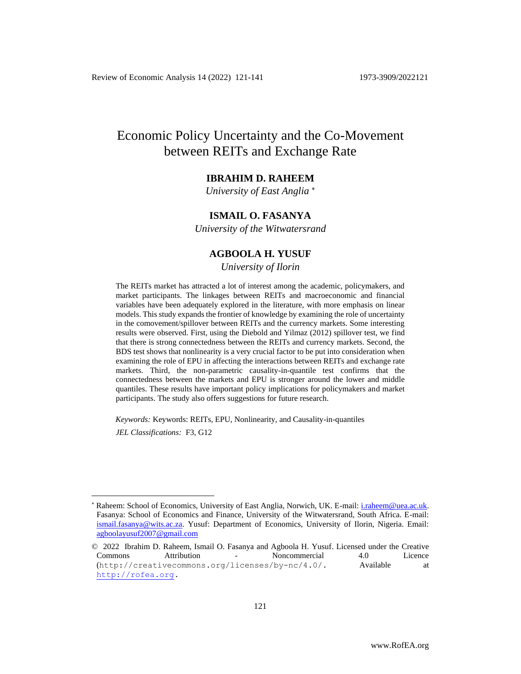# Economic Policy Uncertainty and the Co-Movement between REITs and Exchange Rate

# **IBRAHIM D. RAHEEM**

*University of East Anglia*

# **ISMAIL O. FASANYA**

*University of the Witwatersrand*

# **AGBOOLA H. YUSUF**

*University of Ilorin* Empty 15

The REITs market has attracted a lot of interest among the academic, policymakers, and market participants. The linkages between REITs and macroeconomic and financial variables have been adequately explored in the literature, with more emphasis on linear models. This study expands the frontier of knowledge by examining the role of uncertainty in the comovement/spillover between REITs and the currency markets. Some interesting results were observed. First, using the Diebold and Yilmaz (2012) spillover test, we find that there is strong connectedness between the REITs and currency markets. Second, the BDS test shows that nonlinearity is a very crucial factor to be put into consideration when examining the role of EPU in affecting the interactions between REITs and exchange rate markets. Third, the non-parametric causality-in-quantile test confirms that the connectedness between the markets and EPU is stronger around the lower and middle quantiles. These results have important policy implications for policymakers and market participants. The study also offers suggestions for future research.

*Keywords:* Keywords: REITs, EPU, Nonlinearity, and Causality-in-quantiles *JEL Classifications:* F3, G12

Raheem: School of Economics, University of East Anglia, Norwich, UK. E-mail: [i.raheem@uea.ac.uk.](mailto:i.raheem@uea.ac.uk) Fasanya: School of Economics and Finance, University of the Witwatersrand, South Africa. E-mail: [ismail.fasanya@wits.ac.za.](mailto:ismail.fasanya@wits.ac.za) Yusuf: Department of Economics, University of Ilorin, Nigeria. Email: [agboolayusuf2007@gmail.com](mailto:agboolayusuf2007@gmail.com)

<sup>© 2022</sup> Ibrahim D. Raheem, Ismail O. Fasanya and Agboola H. Yusuf. Licensed under the Creative Commons Attribution - Noncommercial 4.0 Licence (http://creativecommons.org/licenses/by-nc/4.0/. Available at [http://rofea.org.](http://rofea.org/)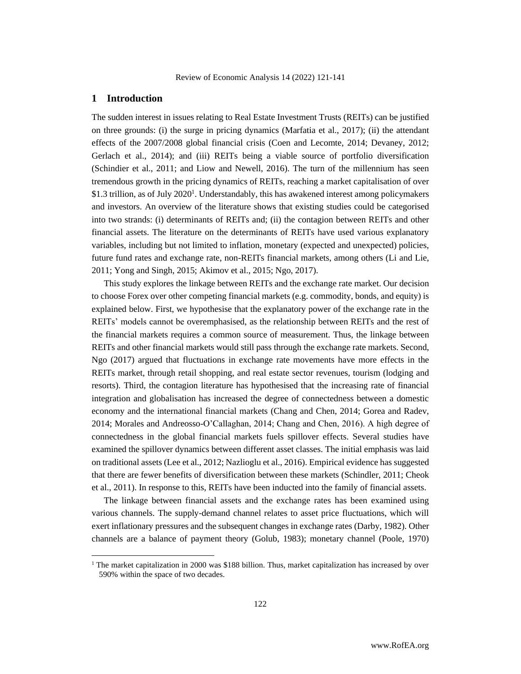# **1 Introduction**

The sudden interest in issues relating to Real Estate Investment Trusts (REITs) can be justified on three grounds: (i) the surge in pricing dynamics (Marfatia et al., 2017); (ii) the attendant effects of the 2007/2008 global financial crisis (Coen and Lecomte, 2014; Devaney, 2012; Gerlach et al., 2014); and (iii) REITs being a viable source of portfolio diversification (Schindier et al., 2011; and Liow and Newell, 2016). The turn of the millennium has seen tremendous growth in the pricing dynamics of REITs, reaching a market capitalisation of over \$1.3 trillion, as of July 2020<sup>1</sup>. Understandably, this has awakened interest among policymakers and investors. An overview of the literature shows that existing studies could be categorised into two strands: (i) determinants of REITs and; (ii) the contagion between REITs and other financial assets. The literature on the determinants of REITs have used various explanatory variables, including but not limited to inflation, monetary (expected and unexpected) policies, future fund rates and exchange rate, non-REITs financial markets, among others (Li and Lie, 2011; Yong and Singh, 2015; Akimov et al., 2015; Ngo, 2017).

This study explores the linkage between REITs and the exchange rate market. Our decision to choose Forex over other competing financial markets (e.g. commodity, bonds, and equity) is explained below. First, we hypothesise that the explanatory power of the exchange rate in the REITs' models cannot be overemphasised, as the relationship between REITs and the rest of the financial markets requires a common source of measurement. Thus, the linkage between REITs and other financial markets would still pass through the exchange rate markets. Second, Ngo (2017) argued that fluctuations in exchange rate movements have more effects in the REITs market, through retail shopping, and real estate sector revenues, tourism (lodging and resorts). Third, the contagion literature has hypothesised that the increasing rate of financial integration and globalisation has increased the degree of connectedness between a domestic economy and the international financial markets (Chang and Chen, 2014; Gorea and Radev, 2014; Morales and Andreosso-O'Callaghan, 2014; Chang and Chen, 2016). A high degree of connectedness in the global financial markets fuels spillover effects. Several studies have examined the spillover dynamics between different asset classes. The initial emphasis was laid on traditional assets (Lee et al., 2012; Nazlioglu et al., 2016). Empirical evidence has suggested that there are fewer benefits of diversification between these markets (Schindler, 2011; Cheok et al., 2011). In response to this, REITs have been inducted into the family of financial assets.

The linkage between financial assets and the exchange rates has been examined using various channels. The supply-demand channel relates to asset price fluctuations, which will exert inflationary pressures and the subsequent changes in exchange rates (Darby, 1982). Other channels are a balance of payment theory (Golub, 1983); monetary channel (Poole, 1970)

<sup>&</sup>lt;sup>1</sup> The market capitalization in 2000 was \$188 billion. Thus, market capitalization has increased by over 590% within the space of two decades.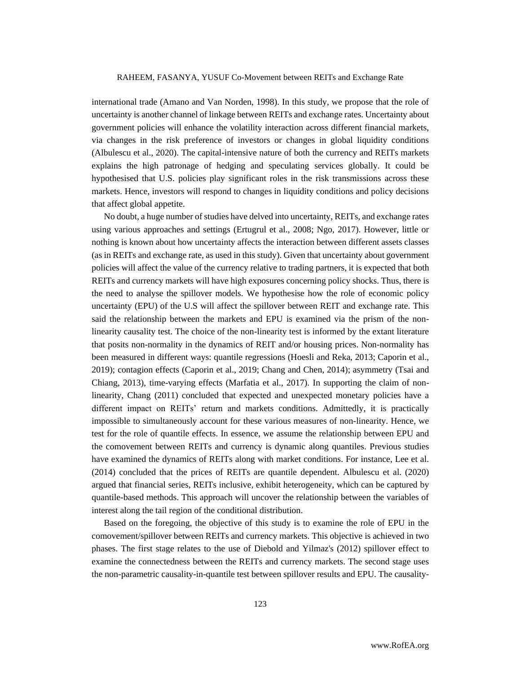international trade (Amano and Van Norden, 1998). In this study, we propose that the role of uncertainty is another channel of linkage between REITs and exchange rates. Uncertainty about government policies will enhance the volatility interaction across different financial markets, via changes in the risk preference of investors or changes in global liquidity conditions (Albulescu et al., 2020). The capital-intensive nature of both the currency and REITs markets explains the high patronage of hedging and speculating services globally. It could be hypothesised that U.S. policies play significant roles in the risk transmissions across these markets. Hence, investors will respond to changes in liquidity conditions and policy decisions that affect global appetite.

No doubt, a huge number of studies have delved into uncertainty, REITs, and exchange rates using various approaches and settings (Ertugrul et al., 2008; Ngo, 2017). However, little or nothing is known about how uncertainty affects the interaction between different assets classes (as in REITs and exchange rate, as used in this study). Given that uncertainty about government policies will affect the value of the currency relative to trading partners, it is expected that both REITs and currency markets will have high exposures concerning policy shocks. Thus, there is the need to analyse the spillover models. We hypothesise how the role of economic policy uncertainty (EPU) of the U.S will affect the spillover between REIT and exchange rate. This said the relationship between the markets and EPU is examined via the prism of the nonlinearity causality test. The choice of the non-linearity test is informed by the extant literature that posits non-normality in the dynamics of REIT and/or housing prices. Non-normality has been measured in different ways: quantile regressions (Hoesli and Reka, 2013; Caporin et al., 2019); contagion effects (Caporin et al., 2019; Chang and Chen, 2014); asymmetry (Tsai and Chiang, 2013), time-varying effects (Marfatia et al., 2017). In supporting the claim of nonlinearity, Chang (2011) concluded that expected and unexpected monetary policies have a different impact on REITs' return and markets conditions. Admittedly, it is practically impossible to simultaneously account for these various measures of non-linearity. Hence, we test for the role of quantile effects. In essence, we assume the relationship between EPU and the comovement between REITs and currency is dynamic along quantiles. Previous studies have examined the dynamics of REITs along with market conditions. For instance, Lee et al. (2014) concluded that the prices of REITs are quantile dependent. Albulescu et al. (2020) argued that financial series, REITs inclusive, exhibit heterogeneity, which can be captured by quantile-based methods. This approach will uncover the relationship between the variables of interest along the tail region of the conditional distribution.

Based on the foregoing, the objective of this study is to examine the role of EPU in the comovement/spillover between REITs and currency markets. This objective is achieved in two phases. The first stage relates to the use of Diebold and Yilmaz's (2012) spillover effect to examine the connectedness between the REITs and currency markets. The second stage uses the non-parametric causality-in-quantile test between spillover results and EPU. The causality-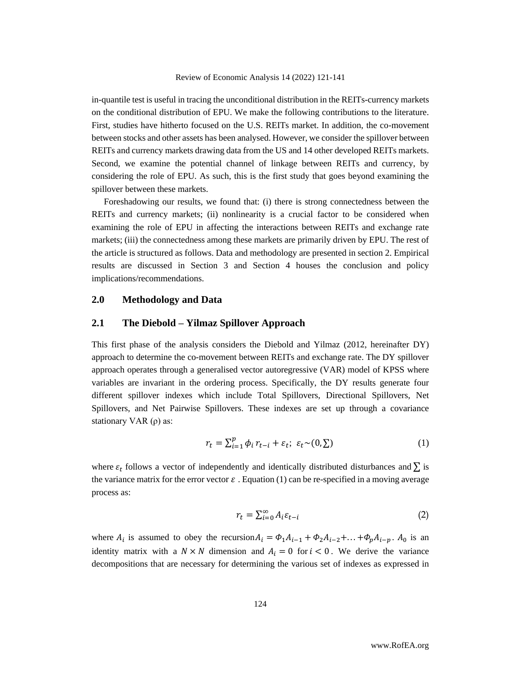in-quantile test is useful in tracing the unconditional distribution in the REITs-currency markets on the conditional distribution of EPU. We make the following contributions to the literature. First, studies have hitherto focused on the U.S. REITs market. In addition, the co-movement between stocks and other assets has been analysed. However, we consider the spillover between REITs and currency markets drawing data from the US and 14 other developed REITs markets. Second, we examine the potential channel of linkage between REITs and currency, by considering the role of EPU. As such, this is the first study that goes beyond examining the spillover between these markets.

Foreshadowing our results, we found that: (i) there is strong connectedness between the REITs and currency markets; (ii) nonlinearity is a crucial factor to be considered when examining the role of EPU in affecting the interactions between REITs and exchange rate markets; (iii) the connectedness among these markets are primarily driven by EPU. The rest of the article is structured as follows. Data and methodology are presented in section 2. Empirical results are discussed in Section 3 and Section 4 houses the conclusion and policy implications/recommendations.

# **2.0 Methodology and Data**

# **2.1 The Diebold – Yilmaz Spillover Approach**

This first phase of the analysis considers the Diebold and Yilmaz (2012, hereinafter DY) approach to determine the co-movement between REITs and exchange rate. The DY spillover approach operates through a generalised vector autoregressive (VAR) model of KPSS where variables are invariant in the ordering process. Specifically, the DY results generate four different spillover indexes which include Total Spillovers, Directional Spillovers, Net Spillovers, and Net Pairwise Spillovers. These indexes are set up through a covariance stationary VAR (ρ) as:

$$
r_t = \sum_{i=1}^p \phi_i r_{t-i} + \varepsilon_t; \ \varepsilon_t \sim (0, \Sigma)
$$
 (1)

where  $\varepsilon_t$  follows a vector of independently and identically distributed disturbances and  $\sum$  is the variance matrix for the error vector  $\varepsilon$ . Equation (1) can be re-specified in a moving average process as:

$$
r_t = \sum_{i=0}^{\infty} A_i \varepsilon_{t-i} \tag{2}
$$

where  $A_i$  is assumed to obey the recursion  $A_i = \Phi_1 A_{i-1} + \Phi_2 A_{i-2} + \ldots + \Phi_p A_{i-p}$ .  $A_0$  is an identity matrix with a  $N \times N$  dimension and  $A_i = 0$  for  $i < 0$ . We derive the variance decompositions that are necessary for determining the various set of indexes as expressed in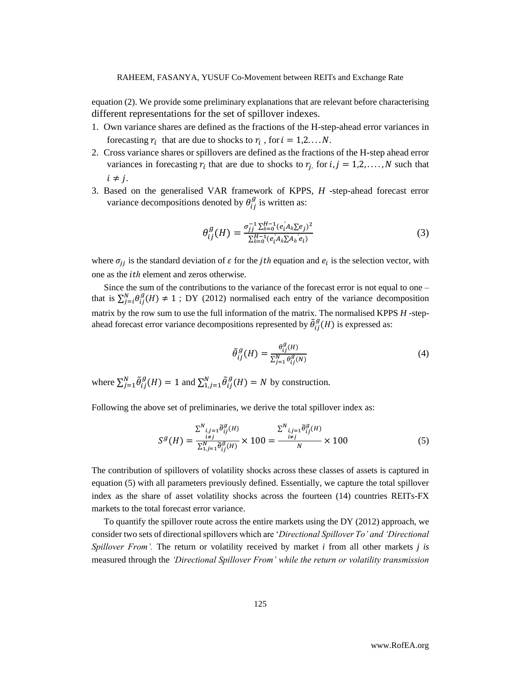equation (2). We provide some preliminary explanations that are relevant before characterising different representations for the set of spillover indexes.

- 1. Own variance shares are defined as the fractions of the H-step-ahead error variances in forecasting  $r_i$  that are due to shocks to  $r_i$ , for  $i = 1, 2, \dots, N$ .
- 2. Cross variance shares or spillovers are defined as the fractions of the H-step ahead error variances in forecasting  $r_i$  that are due to shocks to  $r_j$ , for  $i, j = 1,2,..., N$  such that  $i \neq j$ .
- 3. Based on the generalised VAR framework of KPPS, *H* -step-ahead forecast error variance decompositions denoted by  $\theta_{ij}^g$  is written as:

$$
\theta_{ij}^g(H) = \frac{\sigma_{jj}^{-1} \sum_{h=0}^{H-1} (e_i A_h \sum e_j)^2}{\sum_{h=0}^{H-1} (e_i A_h \sum A_h e_i)}\tag{3}
$$

where  $\sigma_{jj}$  is the standard deviation of  $\varepsilon$  for the *jth* equation and  $e_i$  is the selection vector, with one as the *ith* element and zeros otherwise.

Since the sum of the contributions to the variance of the forecast error is not equal to one – that is  $\sum_{j=i}^{N} \theta_{ij}^{g}(H) \neq 1$ ; DY (2012) normalised each entry of the variance decomposition matrix by the row sum to use the full information of the matrix. The normalised KPPS *H* -stepahead forecast error variance decompositions represented by  $\tilde{\theta}_{ij}^g$  $_{ii}^g(H)$  is expressed as:

$$
\tilde{\theta}_{ij}^g(H) = \frac{\theta_{ij}^g(H)}{\sum_{j=1}^N \theta_{ij}^g(N)}
$$
(4)

where  $\sum_{j=1}^{N} \tilde{\theta}_{ij}^g$  $\mathcal{L}_{ij}^g(H) = 1$  and  $\sum_{i,j=1}^N \tilde{\theta}_{ij}^g$  $_{i}^{g}(H) = N$  by construction.

Following the above set of preliminaries, we derive the total spillover index as:

$$
S^{g}(H) = \frac{\sum_{i,j=1}^{N} \tilde{\theta}_{ij}^{g}(H)}{\sum_{i,j=1}^{N} \tilde{\theta}_{ij}^{g}(H)} \times 100 = \frac{\sum_{i\neq j}^{N} \tilde{\theta}_{ij}^{g}(H)}{N} \times 100
$$
 (5)

The contribution of spillovers of volatility shocks across these classes of assets is captured in equation (5) with all parameters previously defined. Essentially, we capture the total spillover index as the share of asset volatility shocks across the fourteen (14) countries REITs-FX markets to the total forecast error variance.

To quantify the spillover route across the entire markets using the DY (2012) approach, we consider two sets of directional spillovers which are *'Directional Spillover To' and 'Directional Spillover From'.* The return or volatility received by market *i* from all other markets *j is*  measured through the *'Directional Spillover From' while the return or volatility transmission*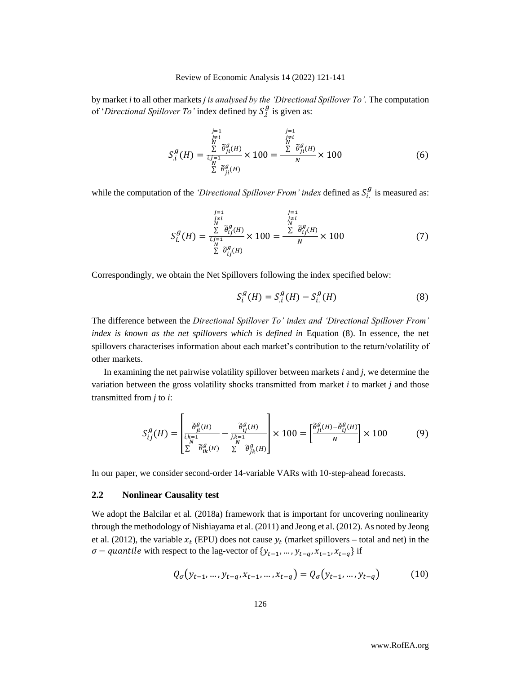by market *i* to all other markets *j is analysed by the 'Directional Spillover To'.* The computation of '*Directional Spillover To'* index defined by  $S_i^g$  is given as:

$$
S_{i}^{g}(H) = \frac{\sum_{\substack{j=i \ j \neq i \\ N}}^{\sum_{j=1}^{j=1} \tilde{\theta}_{ji}^{g}(H)} \times 100 = \frac{\sum_{\substack{j=i \ N \neq i \\ N}}^{\sum_{j=1}^{j=1} \tilde{\theta}_{ji}^{g}(H)} \times 100}{N} \times 100
$$
(6)

while the computation of the *'Directional Spillover From' index* defined as  $S_i^g$  is measured as:

$$
S_{i}^{g}(H) = \frac{\sum\limits_{\substack{j=i \ i \neq j}}^{\substack{j=1 \ j \neq i}} \widetilde{\theta}_{ij}^{g}(H)}{\sum\limits_{\substack{k \ i \neq j}}^{\substack{j=1 \ j \neq i}} \widetilde{\theta}_{ij}^{g}(H)} \times 100 = \frac{\sum\limits_{\substack{j=i \ i \neq j}}^{\substack{j=1 \ j \neq j}} \widetilde{\theta}_{ij}^{g}(H)}{N} \times 100
$$
 (7)

Correspondingly, we obtain the Net Spillovers following the index specified below:

$$
S_i^g(H) = S_i^g(H) - S_i^g(H)
$$
\n(8)

The difference between the *Directional Spillover To' index and 'Directional Spillover From' index is known as the net spillovers which is defined in* Equation (8). In essence, the net spillovers characterises information about each market's contribution to the return/volatility of other markets.

In examining the net pairwise volatility spillover between markets *i* and *j*, we determine the variation between the gross volatility shocks transmitted from market *i* to market *j* and those transmitted from *j* to *i*:

$$
S_{ij}^g(H) = \begin{bmatrix} \tilde{\theta}_{ji}^g(H) & -\tilde{\theta}_{ij}^g(H) \\ \frac{\tilde{\theta}_{ji}^g(H)}{N} & -\frac{\tilde{\theta}_{ij}^g(H)}{N} \\ \Sigma & \tilde{\theta}_{ik}^g(H) & \Sigma & \tilde{\theta}_{jk}^g(H) \end{bmatrix} \times 100 = \begin{bmatrix} \tilde{\theta}_{ji}^g(H) - \tilde{\theta}_{ij}^g(H) \\ N \end{bmatrix} \times 100 \tag{9}
$$

In our paper, we consider second-order 14-variable VARs with 10-step-ahead forecasts.

#### **2.2 Nonlinear Causality test**

We adopt the Balcilar et al. (2018a) framework that is important for uncovering nonlinearity through the methodology of Nishiayama et al. (2011) and Jeong et al. (2012). As noted by Jeong et al. (2012), the variable  $x_t$  (EPU) does not cause  $y_t$  (market spillovers – total and net) in the  $\sigma$  – quantile with respect to the lag-vector of  $\{y_{t-1}, ..., y_{t-q}, x_{t-1}, x_{t-q}\}$  if

$$
Q_{\sigma}(y_{t-1},...,y_{t-q},x_{t-1},...,x_{t-q}) = Q_{\sigma}(y_{t-1},...,y_{t-q})
$$
(10)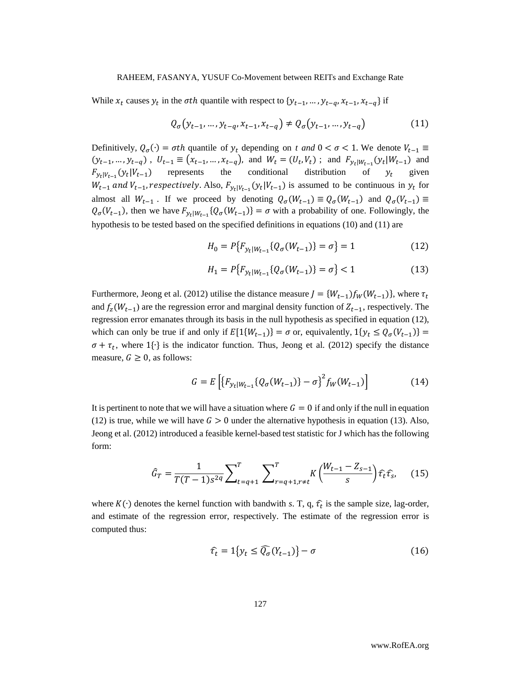While  $x_t$  causes  $y_t$  in the  $\sigma$ th quantile with respect to  $\{y_{t-1}, ..., y_{t-q}, x_{t-1}, x_{t-q}\}$  if

$$
Q_{\sigma}(y_{t-1},...,y_{t-q},x_{t-1},x_{t-q}) \neq Q_{\sigma}(y_{t-1},...,y_{t-q})
$$
\n(11)

Definitively,  $Q_{\sigma}(\cdot) = \sigma th$  quantile of  $y_t$  depending on *t and*  $0 < \sigma < 1$ . We denote  $V_{t-1} \equiv$  $(y_{t-1},..., y_{t-q})$ ,  $U_{t-1} \equiv (x_{t-1},..., x_{t-q})$ , and  $W_t = (U_t, V_t)$ ; and  $F_{y_t|W_{t-1}}(y_t|W_{t-1})$  and  $F_{y_t|V_{t-1}}(y_t|V_{t-1})$  represents the conditional distribution of  $y_t$  given  $W_{t-1}$  and  $V_{t-1}$ , respectively. Also,  $F_{y_t|V_{t-1}}(y_t|V_{t-1})$  is assumed to be continuous in  $y_t$  for almost all  $W_{t-1}$ . If we proceed by denoting  $Q_{\sigma}(W_{t-1}) \equiv Q_{\sigma}(W_{t-1})$  and  $Q_{\sigma}(V_{t-1}) \equiv$  $Q_{\sigma}(V_{t-1})$ , then we have  $F_{y_t|W_{t-1}}\{Q_{\sigma}(W_{t-1})\} = \sigma$  with a probability of one. Followingly, the hypothesis to be tested based on the specified definitions in equations (10) and (11) are

$$
H_0 = P\{F_{y_t|W_{t-1}}\{Q_\sigma(W_{t-1})\} = \sigma\} = 1\tag{12}
$$

$$
H_1 = P\{F_{y_t|W_{t-1}}\{Q_{\sigma}(W_{t-1})\} = \sigma\} < 1\tag{13}
$$

Furthermore, Jeong et al. (2012) utilise the distance measure  $J = \{W_{t-1}\}_{W}^{t}(W_{t-1})$ , where  $\tau_t$ and  $f_z(W_{t-1})$  are the regression error and marginal density function of  $Z_{t-1}$ , respectively. The regression error emanates through its basis in the null hypothesis as specified in equation (12), which can only be true if and only if  $E[1\{W_{t-1}\}] = \sigma$  or, equivalently,  $1\{y_t \leq Q_{\sigma}(V_{t-1})\} =$  $\sigma + \tau_t$ , where 1{⋅} is the indicator function. Thus, Jeong et al. (2012) specify the distance measure,  $G \geq 0$ , as follows:

$$
G = E\left[\left\{F_{y_t|W_{t-1}}\{Q_{\sigma}(W_{t-1})\} - \sigma\right\}^2 f_W(W_{t-1})\right]
$$
(14)

It is pertinent to note that we will have a situation where  $G = 0$  if and only if the null in equation (12) is true, while we will have  $G > 0$  under the alternative hypothesis in equation (13). Also, Jeong et al. (2012) introduced a feasible kernel-based test statistic for J which has the following form:

$$
\hat{G}_T = \frac{1}{T(T-1)s^{2q}} \sum_{t=q+1}^T \sum_{r=q+1, r \neq t}^T K \left( \frac{W_{t-1} - Z_{s-1}}{s} \right) \hat{\tau}_t \hat{\tau}_s, \tag{15}
$$

where  $K(\cdot)$  denotes the kernel function with bandwith *s*. T, q,  $\hat{\tau}_t$  is the sample size, lag-order, and estimate of the regression error, respectively. The estimate of the regression error is computed thus:

$$
\hat{\tau}_t = 1\big\{y_t \le \widehat{Q_{\sigma}}(Y_{t-1})\big\} - \sigma \tag{16}
$$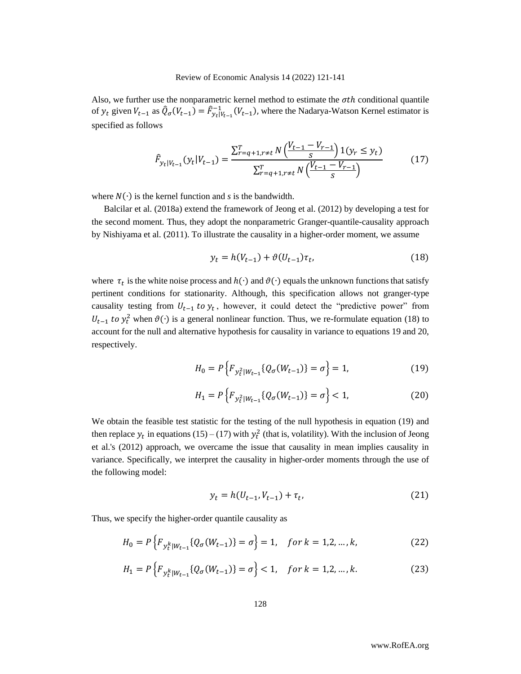Also, we further use the nonparametric kernel method to estimate the  $\sigma th$  conditional quantile of  $y_t$  given  $V_{t-1}$  as  $\hat{Q}_{\sigma}(V_{t-1}) = \hat{F}_{y_t|V_{t-1}}^{-1}(V_{t-1})$ , where the Nadarya-Watson Kernel estimator is specified as follows

$$
\hat{F}_{y_t|V_{t-1}}(y_t|V_{t-1}) = \frac{\sum_{r=q+1,r\neq t}^T N\left(\frac{V_{t-1} - V_{r-1}}{s}\right) 1(y_r \le y_t)}{\sum_{r=q+1,r\neq t}^T N\left(\frac{V_{t-1} - V_{r-1}}{s}\right)}
$$
(17)

where  $N(\cdot)$  is the kernel function and *s* is the bandwidth.

Balcilar et al. (2018a) extend the framework of Jeong et al. (2012) by developing a test for the second moment. Thus, they adopt the nonparametric Granger-quantile-causality approach by Nishiyama et al. (2011). To illustrate the causality in a higher-order moment, we assume

$$
y_t = h(V_{t-1}) + \vartheta(U_{t-1})\tau_t, \tag{18}
$$

where  $\tau_t$  is the white noise process and  $h(\cdot)$  and  $\vartheta(\cdot)$  equals the unknown functions that satisfy pertinent conditions for stationarity. Although, this specification allows not granger-type causality testing from  $U_{t-1}$  to  $y_t$ , however, it could detect the "predictive power" from  $U_{t-1}$  to  $y_t^2$  when  $\vartheta(\cdot)$  is a general nonlinear function. Thus, we re-formulate equation (18) to account for the null and alternative hypothesis for causality in variance to equations 19 and 20, respectively.

$$
H_0 = P\left\{ F_{y_t^2|W_{t-1}} \{ Q_{\sigma}(W_{t-1}) \} = \sigma \right\} = 1, \tag{19}
$$

$$
H_1 = P\left\{ F_{\mathcal{Y}_t^2|W_{t-1}} \{ Q_{\sigma}(W_{t-1}) \} = \sigma \right\} < 1, \tag{20}
$$

We obtain the feasible test statistic for the testing of the null hypothesis in equation (19) and then replace  $y_t$  in equations (15) – (17) with  $y_t^2$  (that is, volatility). With the inclusion of Jeong et al.'s (2012) approach, we overcame the issue that causality in mean implies causality in variance. Specifically, we interpret the causality in higher-order moments through the use of the following model:

$$
y_t = h(U_{t-1}, V_{t-1}) + \tau_t, \tag{21}
$$

Thus, we specify the higher-order quantile causality as

$$
H_0 = P\left\{F_{y_t^k|W_{t-1}}\{Q_{\sigma}(W_{t-1})\} = \sigma\right\} = 1, \quad \text{for } k = 1, 2, \dots, k,
$$
\n(22)

$$
H_1 = P\left\{F_{y_t^k|W_{t-1}}\{Q_{\sigma}(W_{t-1})\} = \sigma\right\} < 1, \quad \text{for } k = 1, 2, \dots, k. \tag{23}
$$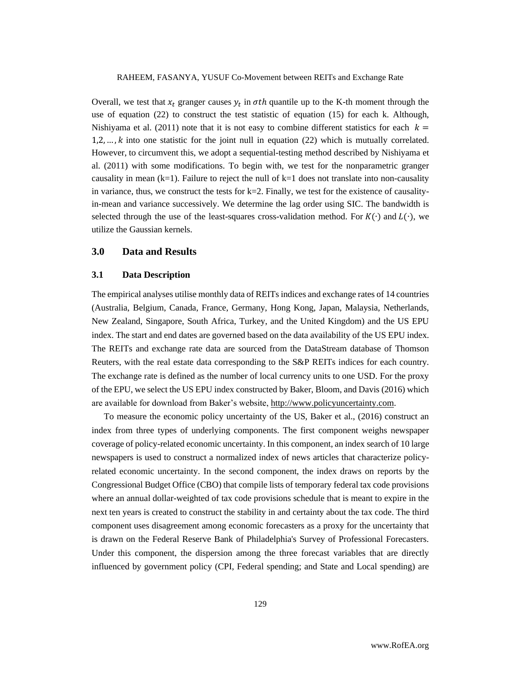Overall, we test that  $x_t$  granger causes  $y_t$  in  $\sigma$ th quantile up to the K-th moment through the use of equation (22) to construct the test statistic of equation (15) for each k. Although, Nishiyama et al. (2011) note that it is not easy to combine different statistics for each  $k =$  $1,2,...,k$  into one statistic for the joint null in equation (22) which is mutually correlated. However, to circumvent this, we adopt a sequential-testing method described by Nishiyama et al. (2011) with some modifications. To begin with, we test for the nonparametric granger causality in mean  $(k=1)$ . Failure to reject the null of  $k=1$  does not translate into non-causality in variance, thus, we construct the tests for  $k=2$ . Finally, we test for the existence of causalityin-mean and variance successively. We determine the lag order using SIC. The bandwidth is selected through the use of the least-squares cross-validation method. For  $K(\cdot)$  and  $L(\cdot)$ , we utilize the Gaussian kernels.

# **3.0 Data and Results**

#### **3.1 Data Description**

The empirical analyses utilise monthly data of REITs indices and exchange rates of 14 countries (Australia, Belgium, Canada, France, Germany, Hong Kong, Japan, Malaysia, Netherlands, New Zealand, Singapore, South Africa, Turkey, and the United Kingdom) and the US EPU index. The start and end dates are governed based on the data availability of the US EPU index. The REITs and exchange rate data are sourced from the DataStream database of Thomson Reuters, with the real estate data corresponding to the S&P REITs indices for each country. The exchange rate is defined as the number of local currency units to one USD. For the proxy of the EPU, we select the US EPU index constructed by Baker, Bloom, and Davis (2016) which are available for download from Baker's website, [http://www.policyuncertainty.com.](http://www.policyuncertainty.com/)

To measure the economic policy uncertainty of the US, Baker et al., (2016) construct an index from three types of underlying components. The first component weighs newspaper coverage of policy-related economic uncertainty. In this component, an index search of 10 large newspapers is used to construct a normalized index of news articles that characterize policyrelated economic uncertainty. In the second component, the index draws on reports by the Congressional Budget Office (CBO) that compile lists of temporary federal tax code provisions where an annual dollar-weighted of tax code provisions schedule that is meant to expire in the next ten years is created to construct the stability in and certainty about the tax code. The third component uses disagreement among economic forecasters as a proxy for the uncertainty that is drawn on the Federal Reserve Bank of Philadelphia's Survey of Professional Forecasters. Under this component, the dispersion among the three forecast variables that are directly influenced by government policy (CPI, Federal spending; and State and Local spending) are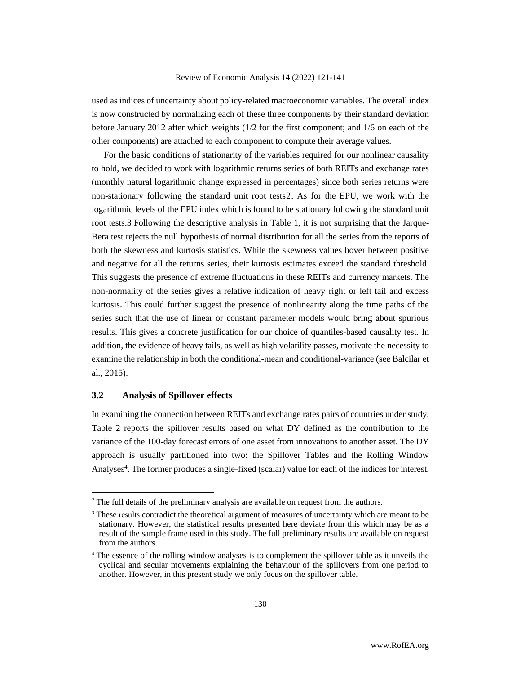used as indices of uncertainty about policy-related macroeconomic variables. The overall index is now constructed by normalizing each of these three components by their standard deviation before January 2012 after which weights (1/2 for the first component; and 1/6 on each of the other components) are attached to each component to compute their average values.

For the basic conditions of stationarity of the variables required for our nonlinear causality to hold, we decided to work with logarithmic returns series of both REITs and exchange rates (monthly natural logarithmic change expressed in percentages) since both series returns were non-stationary following the standard unit root tests2. As for the EPU, we work with the logarithmic levels of the EPU index which is found to be stationary following the standard unit root tests.3 Following the descriptive analysis in Table 1, it is not surprising that the Jarque-Bera test rejects the null hypothesis of normal distribution for all the series from the reports of both the skewness and kurtosis statistics. While the skewness values hover between positive and negative for all the returns series, their kurtosis estimates exceed the standard threshold. This suggests the presence of extreme fluctuations in these REITs and currency markets. The non-normality of the series gives a relative indication of heavy right or left tail and excess kurtosis. This could further suggest the presence of nonlinearity along the time paths of the series such that the use of linear or constant parameter models would bring about spurious results. This gives a concrete justification for our choice of quantiles-based causality test. In addition, the evidence of heavy tails, as well as high volatility passes, motivate the necessity to examine the relationship in both the conditional-mean and conditional-variance (see Balcilar et al., 2015).

# **3.2 Analysis of Spillover effects**

In examining the connection between REITs and exchange rates pairs of countries under study, Table 2 reports the spillover results based on what DY defined as the contribution to the variance of the 100-day forecast errors of one asset from innovations to another asset. The DY approach is usually partitioned into two: the Spillover Tables and the Rolling Window Analyses<sup>4</sup>. The former produces a single-fixed (scalar) value for each of the indices for interest.

<sup>&</sup>lt;sup>2</sup> The full details of the preliminary analysis are available on request from the authors.

 $3$  These results contradict the theoretical argument of measures of uncertainty which are meant to be stationary. However, the statistical results presented here deviate from this which may be as a result of the sample frame used in this study. The full preliminary results are available on request from the authors.

<sup>&</sup>lt;sup>4</sup> The essence of the rolling window analyses is to complement the spillover table as it unveils the cyclical and secular movements explaining the behaviour of the spillovers from one period to another. However, in this present study we only focus on the spillover table.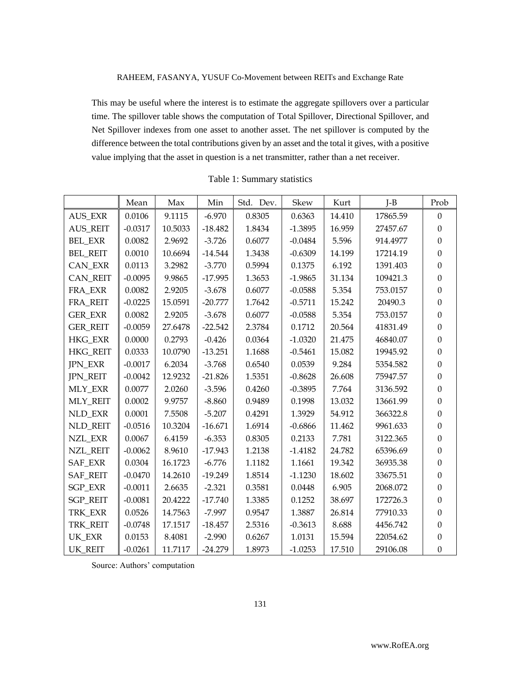This may be useful where the interest is to estimate the aggregate spillovers over a particular time. The spillover table shows the computation of Total Spillover, Directional Spillover, and Net Spillover indexes from one asset to another asset. The net spillover is computed by the difference between the total contributions given by an asset and the total it gives, with a positive value implying that the asset in question is a net transmitter, rather than a net receiver.

|                 | Mean      | Max     | Min       | Std. Dev. | Skew      | Kurt   | $I-B$    | Prob             |
|-----------------|-----------|---------|-----------|-----------|-----------|--------|----------|------------------|
| <b>AUS_EXR</b>  | 0.0106    | 9.1115  | $-6.970$  | 0.8305    | 0.6363    | 14.410 | 17865.59 | $\boldsymbol{0}$ |
| <b>AUS_REIT</b> | $-0.0317$ | 10.5033 | $-18.482$ | 1.8434    | $-1.3895$ | 16.959 | 27457.67 | $\Omega$         |
| <b>BEL_EXR</b>  | 0.0082    | 2.9692  | $-3.726$  | 0.6077    | $-0.0484$ | 5.596  | 914.4977 | $\theta$         |
| <b>BEL_REIT</b> | 0.0010    | 10.6694 | $-14.544$ | 1.3438    | $-0.6309$ | 14.199 | 17214.19 | $\theta$         |
| CAN_EXR         | 0.0113    | 3.2982  | $-3.770$  | 0.5994    | 0.1375    | 6.192  | 1391.403 | $\Omega$         |
| <b>CAN REIT</b> | $-0.0095$ | 9.9865  | $-17.995$ | 1.3653    | $-1.9865$ | 31.134 | 109421.3 | $\mathbf{0}$     |
| FRA EXR         | 0.0082    | 2.9205  | $-3.678$  | 0.6077    | $-0.0588$ | 5.354  | 753.0157 | $\mathbf{0}$     |
| FRA_REIT        | $-0.0225$ | 15.0591 | $-20.777$ | 1.7642    | $-0.5711$ | 15.242 | 20490.3  | $\mathbf{0}$     |
| <b>GER_EXR</b>  | 0.0082    | 2.9205  | $-3.678$  | 0.6077    | $-0.0588$ | 5.354  | 753.0157 | $\Omega$         |
| <b>GER_REIT</b> | $-0.0059$ | 27.6478 | $-22.542$ | 2.3784    | 0.1712    | 20.564 | 41831.49 | $\boldsymbol{0}$ |
| HKG_EXR         | 0.0000    | 0.2793  | $-0.426$  | 0.0364    | $-1.0320$ | 21.475 | 46840.07 | $\boldsymbol{0}$ |
| HKG_REIT        | 0.0333    | 10.0790 | $-13.251$ | 1.1688    | $-0.5461$ | 15.082 | 19945.92 | $\theta$         |
| <b>JPN_EXR</b>  | $-0.0017$ | 6.2034  | $-3.768$  | 0.6540    | 0.0539    | 9.284  | 5354.582 | $\mathbf{0}$     |
| <b>JPN_REIT</b> | $-0.0042$ | 12.9232 | $-21.826$ | 1.5351    | $-0.8628$ | 26.608 | 75947.57 | $\theta$         |
| <b>MLY_EXR</b>  | 0.0077    | 2.0260  | $-3.596$  | 0.4260    | $-0.3895$ | 7.764  | 3136.592 | $\mathbf{0}$     |
| <b>MLY REIT</b> | 0.0002    | 9.9757  | $-8.860$  | 0.9489    | 0.1998    | 13.032 | 13661.99 | $\Omega$         |
| <b>NLD EXR</b>  | 0.0001    | 7.5508  | $-5.207$  | 0.4291    | 1.3929    | 54.912 | 366322.8 | $\overline{0}$   |
| NLD_REIT        | $-0.0516$ | 10.3204 | $-16.671$ | 1.6914    | $-0.6866$ | 11.462 | 9961.633 | $\Omega$         |
| NZL_EXR         | 0.0067    | 6.4159  | $-6.353$  | 0.8305    | 0.2133    | 7.781  | 3122.365 | $\boldsymbol{0}$ |
| <b>NZL_REIT</b> | $-0.0062$ | 8.9610  | $-17.943$ | 1.2138    | $-1.4182$ | 24.782 | 65396.69 | $\boldsymbol{0}$ |
| SAF_EXR         | 0.0304    | 16.1723 | $-6.776$  | 1.1182    | 1.1661    | 19.342 | 36935.38 | $\theta$         |
| <b>SAF_REIT</b> | $-0.0470$ | 14.2610 | $-19.249$ | 1.8514    | $-1.1230$ | 18.602 | 33675.51 | $\mathbf{0}$     |
| <b>SGP_EXR</b>  | $-0.0011$ | 2.6635  | $-2.321$  | 0.3581    | 0.0448    | 6.905  | 2068.072 | $\theta$         |
| <b>SGP_REIT</b> | $-0.0081$ | 20.4222 | $-17.740$ | 1.3385    | 0.1252    | 38.697 | 172726.3 | $\mathbf{0}$     |
| TRK EXR         | 0.0526    | 14.7563 | $-7.997$  | 0.9547    | 1.3887    | 26.814 | 77910.33 | $\Omega$         |
| TRK REIT        | $-0.0748$ | 17.1517 | $-18.457$ | 2.5316    | $-0.3613$ | 8.688  | 4456.742 | $\mathbf{0}$     |
| UK_EXR          | 0.0153    | 8.4081  | $-2.990$  | 0.6267    | 1.0131    | 15.594 | 22054.62 | $\boldsymbol{0}$ |
| <b>UK REIT</b>  | $-0.0261$ | 11.7117 | $-24.279$ | 1.8973    | $-1.0253$ | 17.510 | 29106.08 | $\mathbf{0}$     |

|  |  | Table 1: Summary statistics |  |
|--|--|-----------------------------|--|
|--|--|-----------------------------|--|

Source: Authors' computation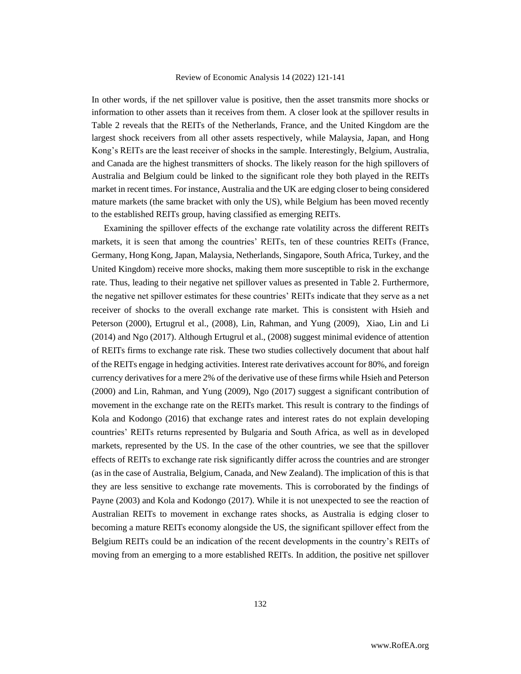In other words, if the net spillover value is positive, then the asset transmits more shocks or information to other assets than it receives from them. A closer look at the spillover results in Table 2 reveals that the REITs of the Netherlands, France, and the United Kingdom are the largest shock receivers from all other assets respectively, while Malaysia, Japan, and Hong Kong's REITs are the least receiver of shocks in the sample. Interestingly, Belgium, Australia, and Canada are the highest transmitters of shocks. The likely reason for the high spillovers of Australia and Belgium could be linked to the significant role they both played in the REITs market in recent times. For instance, Australia and the UK are edging closer to being considered mature markets (the same bracket with only the US), while Belgium has been moved recently to the established REITs group, having classified as emerging REITs.

Examining the spillover effects of the exchange rate volatility across the different REITs markets, it is seen that among the countries' REITs, ten of these countries REITs (France, Germany, Hong Kong, Japan, Malaysia, Netherlands, Singapore, South Africa, Turkey, and the United Kingdom) receive more shocks, making them more susceptible to risk in the exchange rate. Thus, leading to their negative net spillover values as presented in Table 2. Furthermore, the negative net spillover estimates for these countries' REITs indicate that they serve as a net receiver of shocks to the overall exchange rate market. This is consistent with Hsieh and Peterson (2000), Ertugrul et al., (2008), Lin, Rahman, and Yung (2009), Xiao, Lin and Li (2014) and Ngo (2017). Although Ertugrul et al., (2008) suggest minimal evidence of attention of REITs firms to exchange rate risk. These two studies collectively document that about half of the REITs engage in hedging activities. Interest rate derivatives account for 80%, and foreign currency derivatives for a mere 2% of the derivative use of these firms while Hsieh and Peterson (2000) and Lin, Rahman, and Yung (2009), Ngo (2017) suggest a significant contribution of movement in the exchange rate on the REITs market. This result is contrary to the findings of Kola and Kodongo (2016) that exchange rates and interest rates do not explain developing countries' REITs returns represented by Bulgaria and South Africa, as well as in developed markets, represented by the US. In the case of the other countries, we see that the spillover effects of REITs to exchange rate risk significantly differ across the countries and are stronger (as in the case of Australia, Belgium, Canada, and New Zealand). The implication of this is that they are less sensitive to exchange rate movements. This is corroborated by the findings of Payne (2003) and Kola and Kodongo (2017). While it is not unexpected to see the reaction of Australian REITs to movement in exchange rates shocks, as Australia is edging closer to becoming a mature REITs economy alongside the US, the significant spillover effect from the Belgium REITs could be an indication of the recent developments in the country's REITs of moving from an emerging to a more established REITs. In addition, the positive net spillover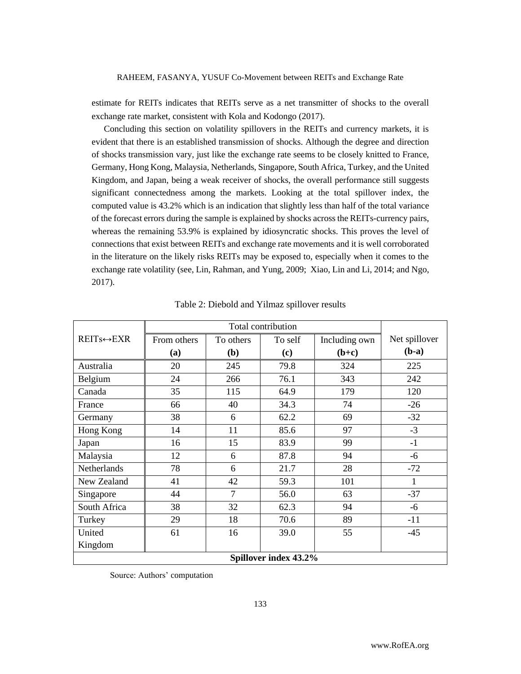estimate for REITs indicates that REITs serve as a net transmitter of shocks to the overall exchange rate market, consistent with Kola and Kodongo (2017).

Concluding this section on volatility spillovers in the REITs and currency markets, it is evident that there is an established transmission of shocks. Although the degree and direction of shocks transmission vary, just like the exchange rate seems to be closely knitted to France, Germany, Hong Kong, Malaysia, Netherlands, Singapore, South Africa, Turkey, and the United Kingdom, and Japan, being a weak receiver of shocks, the overall performance still suggests significant connectedness among the markets. Looking at the total spillover index, the computed value is 43.2% which is an indication that slightly less than half of the total variance of the forecast errors during the sample is explained by shocks across the REITs-currency pairs, whereas the remaining 53.9% is explained by idiosyncratic shocks. This proves the level of connections that exist between REITs and exchange rate movements and it is well corroborated in the literature on the likely risks REITs may be exposed to, especially when it comes to the exchange rate volatility (see, Lin, Rahman, and Yung, 2009; Xiao, Lin and Li, 2014; and Ngo, 2017).

| $REITs \leftrightarrow EXR$ | From others | To others | To self | Including own | Net spillover |  |  |
|-----------------------------|-------------|-----------|---------|---------------|---------------|--|--|
|                             | (a)         | (b)       | (c)     | $(b+c)$       | $(b-a)$       |  |  |
| Australia                   | 20          | 245       | 79.8    | 324           | 225           |  |  |
| Belgium                     | 24          | 266       | 76.1    | 343           | 242           |  |  |
| Canada                      | 35          | 115       | 64.9    | 179           | 120           |  |  |
| France                      | 66          | 40        | 34.3    | 74            | $-26$         |  |  |
| Germany                     | 38          | 6         | 62.2    | 69            | $-32$         |  |  |
| Hong Kong                   | 14          | 11        | 85.6    | 97            | $-3$          |  |  |
| Japan                       | 16          | 15        | 83.9    | 99            | $-1$          |  |  |
| Malaysia                    | 12          | 6         | 87.8    | 94            | $-6$          |  |  |
| <b>Netherlands</b>          | 78          | 6         | 21.7    | 28            | $-72$         |  |  |
| New Zealand                 | 41          | 42        | 59.3    | 101           | 1             |  |  |
| Singapore                   | 44          | $\tau$    | 56.0    | 63            | $-37$         |  |  |
| South Africa                | 38          | 32        | 62.3    | 94            | -6            |  |  |
| Turkey                      | 29          | 18        | 70.6    | 89            | $-11$         |  |  |
| United                      | 61          | 16        | 39.0    | 55            | $-45$         |  |  |
| Kingdom                     |             |           |         |               |               |  |  |
| Spillover index 43.2%       |             |           |         |               |               |  |  |

Table 2: Diebold and Yilmaz spillover results

Source: Authors' computation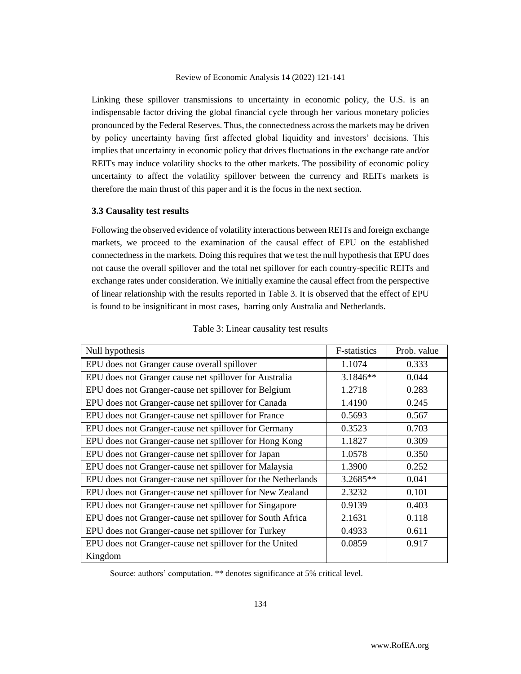Linking these spillover transmissions to uncertainty in economic policy, the U.S. is an indispensable factor driving the global financial cycle through her various monetary policies pronounced by the Federal Reserves. Thus, the connectedness across the markets may be driven by policy uncertainty having first affected global liquidity and investors' decisions. This implies that uncertainty in economic policy that drives fluctuations in the exchange rate and/or REITs may induce volatility shocks to the other markets. The possibility of economic policy uncertainty to affect the volatility spillover between the currency and REITs markets is therefore the main thrust of this paper and it is the focus in the next section.

#### **3.3 Causality test results**

Following the observed evidence of volatility interactions between REITs and foreign exchange markets, we proceed to the examination of the causal effect of EPU on the established connectedness in the markets. Doing this requires that we test the null hypothesis that EPU does not cause the overall spillover and the total net spillover for each country-specific REITs and exchange rates under consideration. We initially examine the causal effect from the perspective of linear relationship with the results reported in Table 3. It is observed that the effect of EPU is found to be insignificant in most cases, barring only Australia and Netherlands.

| Null hypothesis                                              | F-statistics | Prob. value |
|--------------------------------------------------------------|--------------|-------------|
| EPU does not Granger cause overall spillover                 | 1.1074       | 0.333       |
| EPU does not Granger cause net spillover for Australia       | $3.1846**$   | 0.044       |
| EPU does not Granger-cause net spillover for Belgium         | 1.2718       | 0.283       |
| EPU does not Granger-cause net spillover for Canada          | 1.4190       | 0.245       |
| EPU does not Granger-cause net spillover for France          | 0.5693       | 0.567       |
| EPU does not Granger-cause net spillover for Germany         | 0.3523       | 0.703       |
| EPU does not Granger-cause net spillover for Hong Kong       | 1.1827       | 0.309       |
| EPU does not Granger-cause net spillover for Japan           | 1.0578       | 0.350       |
| EPU does not Granger-cause net spillover for Malaysia        | 1.3900       | 0.252       |
| EPU does not Granger-cause net spillover for the Netherlands | 3.2685**     | 0.041       |
| EPU does not Granger-cause net spillover for New Zealand     | 2.3232       | 0.101       |
| EPU does not Granger-cause net spillover for Singapore       | 0.9139       | 0.403       |
| EPU does not Granger-cause net spillover for South Africa    | 2.1631       | 0.118       |
| EPU does not Granger-cause net spillover for Turkey          | 0.4933       | 0.611       |
| EPU does not Granger-cause net spillover for the United      | 0.0859       | 0.917       |
| Kingdom                                                      |              |             |

| Table 3: Linear causality test results |  |  |
|----------------------------------------|--|--|
|----------------------------------------|--|--|

Source: authors' computation. \*\* denotes significance at 5% critical level.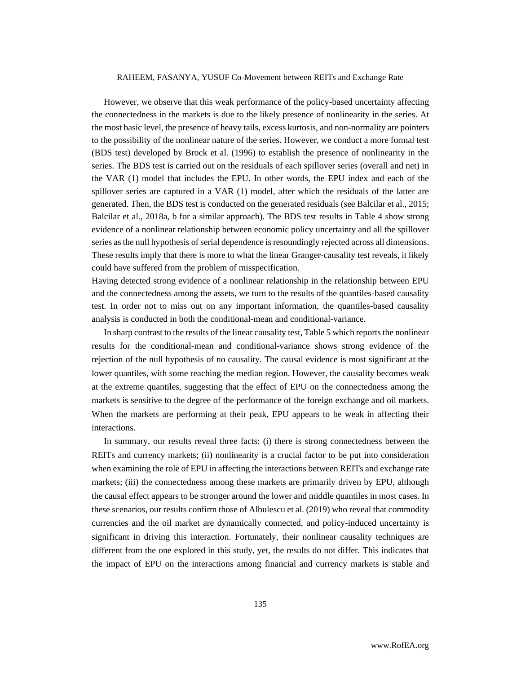However, we observe that this weak performance of the policy-based uncertainty affecting the connectedness in the markets is due to the likely presence of nonlinearity in the series. At the most basic level, the presence of heavy tails, excess kurtosis, and non-normality are pointers to the possibility of the nonlinear nature of the series. However, we conduct a more formal test (BDS test) developed by Brock et al. (1996) to establish the presence of nonlinearity in the series. The BDS test is carried out on the residuals of each spillover series (overall and net) in the VAR (1) model that includes the EPU. In other words, the EPU index and each of the spillover series are captured in a VAR (1) model, after which the residuals of the latter are generated. Then, the BDS test is conducted on the generated residuals (see Balcilar et al., 2015; Balcilar et al., 2018a, b for a similar approach). The BDS test results in Table 4 show strong evidence of a nonlinear relationship between economic policy uncertainty and all the spillover series as the null hypothesis of serial dependence is resoundingly rejected across all dimensions. These results imply that there is more to what the linear Granger-causality test reveals, it likely could have suffered from the problem of misspecification.

Having detected strong evidence of a nonlinear relationship in the relationship between EPU and the connectedness among the assets, we turn to the results of the quantiles-based causality test. In order not to miss out on any important information, the quantiles-based causality analysis is conducted in both the conditional-mean and conditional-variance.

In sharp contrast to the results of the linear causality test, Table 5 which reports the nonlinear results for the conditional-mean and conditional-variance shows strong evidence of the rejection of the null hypothesis of no causality. The causal evidence is most significant at the lower quantiles, with some reaching the median region. However, the causality becomes weak at the extreme quantiles, suggesting that the effect of EPU on the connectedness among the markets is sensitive to the degree of the performance of the foreign exchange and oil markets. When the markets are performing at their peak, EPU appears to be weak in affecting their interactions.

In summary, our results reveal three facts: (i) there is strong connectedness between the REITs and currency markets; (ii) nonlinearity is a crucial factor to be put into consideration when examining the role of EPU in affecting the interactions between REITs and exchange rate markets; (iii) the connectedness among these markets are primarily driven by EPU, although the causal effect appears to be stronger around the lower and middle quantiles in most cases. In these scenarios, our results confirm those of Albulescu et al. (2019) who reveal that commodity currencies and the oil market are dynamically connected, and policy-induced uncertainty is significant in driving this interaction. Fortunately, their nonlinear causality techniques are different from the one explored in this study, yet, the results do not differ. This indicates that the impact of EPU on the interactions among financial and currency markets is stable and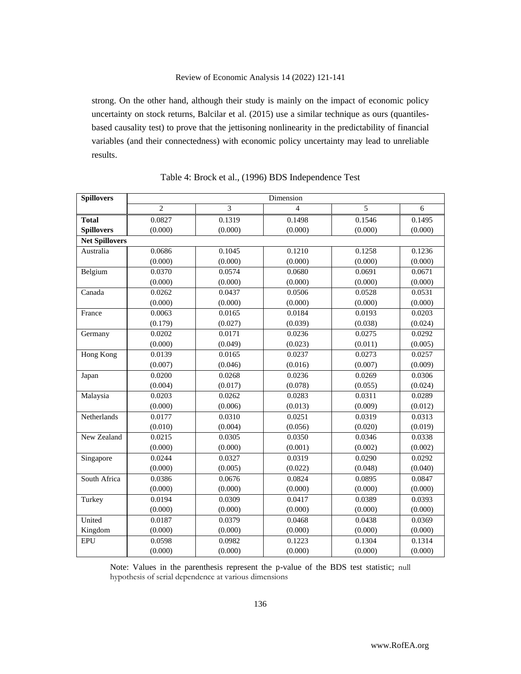strong. On the other hand, although their study is mainly on the impact of economic policy uncertainty on stock returns, Balcilar et al. (2015) use a similar technique as ours (quantilesbased causality test) to prove that the jettisoning nonlinearity in the predictability of financial variables (and their connectedness) with economic policy uncertainty may lead to unreliable results.

| <b>Spillovers</b>     | Dimension      |         |                          |         |         |  |  |
|-----------------------|----------------|---------|--------------------------|---------|---------|--|--|
|                       | $\overline{2}$ | 3       | $\overline{\mathcal{L}}$ | 5       | 6       |  |  |
| <b>Total</b>          | 0.0827         | 0.1319  | 0.1498                   | 0.1546  | 0.1495  |  |  |
| <b>Spillovers</b>     | (0.000)        | (0.000) | (0.000)                  | (0.000) | (0.000) |  |  |
| <b>Net Spillovers</b> |                |         |                          |         |         |  |  |
| Australia             | 0.0686         | 0.1045  | 0.1210                   | 0.1258  | 0.1236  |  |  |
|                       | (0.000)        | (0.000) | (0.000)                  | (0.000) | (0.000) |  |  |
| Belgium               | 0.0370         | 0.0574  | 0.0680                   | 0.0691  | 0.0671  |  |  |
|                       | (0.000)        | (0.000) | (0.000)                  | (0.000) | (0.000) |  |  |
| Canada                | 0.0262         | 0.0437  | 0.0506                   | 0.0528  | 0.0531  |  |  |
|                       | (0.000)        | (0.000) | (0.000)                  | (0.000) | (0.000) |  |  |
| France                | 0.0063         | 0.0165  | 0.0184                   | 0.0193  | 0.0203  |  |  |
|                       | (0.179)        | (0.027) | (0.039)                  | (0.038) | (0.024) |  |  |
| Germany               | 0.0202         | 0.0171  | 0.0236                   | 0.0275  | 0.0292  |  |  |
|                       | (0.000)        | (0.049) | (0.023)                  | (0.011) | (0.005) |  |  |
| <b>Hong Kong</b>      | 0.0139         | 0.0165  | 0.0237                   | 0.0273  | 0.0257  |  |  |
|                       | (0.007)        | (0.046) | (0.016)                  | (0.007) | (0.009) |  |  |
| Japan                 | 0.0200         | 0.0268  | 0.0236                   | 0.0269  | 0.0306  |  |  |
|                       | (0.004)        | (0.017) | (0.078)                  | (0.055) | (0.024) |  |  |
| Malaysia              | 0.0203         | 0.0262  | 0.0283                   | 0.0311  | 0.0289  |  |  |
|                       | (0.000)        | (0.006) | (0.013)                  | (0.009) | (0.012) |  |  |
| Netherlands           | 0.0177         | 0.0310  | 0.0251                   | 0.0319  | 0.0313  |  |  |
|                       | (0.010)        | (0.004) | (0.056)                  | (0.020) | (0.019) |  |  |
| New Zealand           | 0.0215         | 0.0305  | 0.0350                   | 0.0346  | 0.0338  |  |  |
|                       | (0.000)        | (0.000) | (0.001)                  | (0.002) | (0.002) |  |  |
| Singapore             | 0.0244         | 0.0327  | 0.0319                   | 0.0290  | 0.0292  |  |  |
|                       | (0.000)        | (0.005) | (0.022)                  | (0.048) | (0.040) |  |  |
| South Africa          | 0.0386         | 0.0676  | 0.0824                   | 0.0895  | 0.0847  |  |  |
|                       | (0.000)        | (0.000) | (0.000)                  | (0.000) | (0.000) |  |  |
| Turkey                | 0.0194         | 0.0309  | 0.0417                   | 0.0389  | 0.0393  |  |  |
|                       | (0.000)        | (0.000) | (0.000)                  | (0.000) | (0.000) |  |  |
| United                | 0.0187         | 0.0379  | 0.0468                   | 0.0438  | 0.0369  |  |  |
| Kingdom               | (0.000)        | (0.000) | (0.000)                  | (0.000) | (0.000) |  |  |
| <b>EPU</b>            | 0.0598         | 0.0982  | 0.1223                   | 0.1304  | 0.1314  |  |  |
|                       | (0.000)        | (0.000) | (0.000)                  | (0.000) | (0.000) |  |  |

| Table 4: Brock et al., (1996) BDS Independence Test |  |  |  |  |
|-----------------------------------------------------|--|--|--|--|
|-----------------------------------------------------|--|--|--|--|

Note: Values in the parenthesis represent the p-value of the BDS test statistic; null hypothesis of serial dependence at various dimensions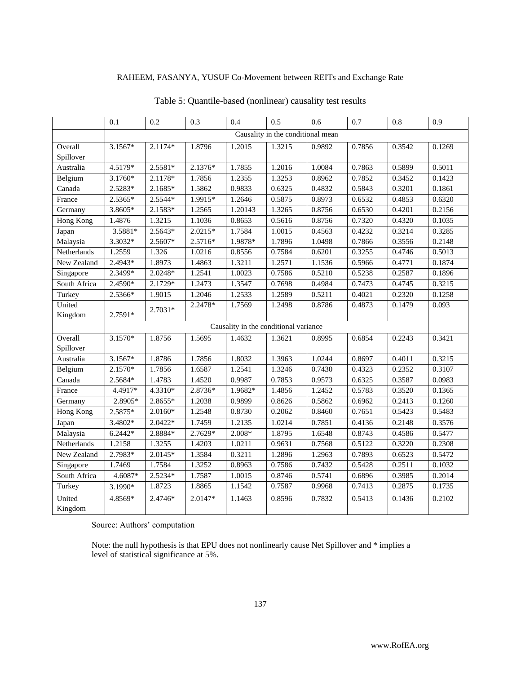|                  | 0.1                               | 0.2       | 0.3       | 0.4                                   | 0.5    | 0.6    | 0.7    | 0.8    | 0.9    |
|------------------|-----------------------------------|-----------|-----------|---------------------------------------|--------|--------|--------|--------|--------|
|                  | Causality in the conditional mean |           |           |                                       |        |        |        |        |        |
| Overall          | 3.1567*                           | 2.1174*   | 1.8796    | 1.2015                                | 1.3215 | 0.9892 | 0.7856 | 0.3542 | 0.1269 |
| Spillover        |                                   |           |           |                                       |        |        |        |        |        |
| Australia        | 4.5179*                           | $2.5581*$ | 2.1376*   | 1.7855                                | 1.2016 | 1.0084 | 0.7863 | 0.5899 | 0.5011 |
| Belgium          | $3.1760*$                         | 2.1178*   | 1.7856    | 1.2355                                | 1.3253 | 0.8962 | 0.7852 | 0.3452 | 0.1423 |
| Canada           | 2.5283*                           | 2.1685*   | 1.5862    | 0.9833                                | 0.6325 | 0.4832 | 0.5843 | 0.3201 | 0.1861 |
| France           | 2.5365*                           | 2.5544*   | 1.9915*   | 1.2646                                | 0.5875 | 0.8973 | 0.6532 | 0.4853 | 0.6320 |
| Germany          | 3.8605*                           | 2.1583*   | 1.2565    | 1.20143                               | 1.3265 | 0.8756 | 0.6530 | 0.4201 | 0.2156 |
| Hong Kong        | 1.4876                            | 1.3215    | 1.1036    | 0.8653                                | 0.5616 | 0.8756 | 0.7320 | 0.4320 | 0.1035 |
| Japan            | 3.5881*                           | $2.5643*$ | $2.0215*$ | 1.7584                                | 1.0015 | 0.4563 | 0.4232 | 0.3214 | 0.3285 |
| Malaysia         | 3.3032*                           | 2.5607*   | 2.5716*   | 1.9878*                               | 1.7896 | 1.0498 | 0.7866 | 0.3556 | 0.2148 |
| Netherlands      | 1.2559                            | 1.326     | 1.0216    | 0.8556                                | 0.7584 | 0.6201 | 0.3255 | 0.4746 | 0.5013 |
| New Zealand      | 2.4943*                           | 1.8973    | 1.4863    | 1.3211                                | 1.2571 | 1.1536 | 0.5966 | 0.4771 | 0.1874 |
| Singapore        | 2.3499*                           | 2.0248*   | 1.2541    | 1.0023                                | 0.7586 | 0.5210 | 0.5238 | 0.2587 | 0.1896 |
| South Africa     | 2.4590*                           | 2.1729*   | 1.2473    | 1.3547                                | 0.7698 | 0.4984 | 0.7473 | 0.4745 | 0.3215 |
| Turkey           | 2.5366*                           | 1.9015    | 1.2046    | 1.2533                                | 1.2589 | 0.5211 | 0.4021 | 0.2320 | 0.1258 |
| United           |                                   | 2.7031*   | 2.2478*   | 1.7569                                | 1.2498 | 0.8786 | 0.4873 | 0.1479 | 0.093  |
| Kingdom          | 2.7591*                           |           |           |                                       |        |        |        |        |        |
|                  |                                   |           |           | Causality in the conditional variance |        |        |        |        |        |
| Overall          | 3.1570*                           | 1.8756    | 1.5695    | 1.4632                                | 1.3621 | 0.8995 | 0.6854 | 0.2243 | 0.3421 |
| Spillover        |                                   |           |           |                                       |        |        |        |        |        |
| Australia        | 3.1567*                           | 1.8786    | 1.7856    | 1.8032                                | 1.3963 | 1.0244 | 0.8697 | 0.4011 | 0.3215 |
| Belgium          | 2.1570*                           | 1.7856    | 1.6587    | 1.2541                                | 1.3246 | 0.7430 | 0.4323 | 0.2352 | 0.3107 |
| Canada           | 2.5684*                           | 1.4783    | 1.4520    | 0.9987                                | 0.7853 | 0.9573 | 0.6325 | 0.3587 | 0.0983 |
| France           | 4.4917*                           | 4.3310*   | 2.8736*   | 1.9682*                               | 1.4856 | 1.2452 | 0.5783 | 0.3520 | 0.1365 |
| Germany          | 2.8905*                           | 2.8655*   | 1.2038    | 0.9899                                | 0.8626 | 0.5862 | 0.6962 | 0.2413 | 0.1260 |
| <b>Hong Kong</b> | 2.5875*                           | $2.0160*$ | 1.2548    | 0.8730                                | 0.2062 | 0.8460 | 0.7651 | 0.5423 | 0.5483 |
| Japan            | 3.4802*                           | 2.0422*   | 1.7459    | 1.2135                                | 1.0214 | 0.7851 | 0.4136 | 0.2148 | 0.3576 |
| Malaysia         | $6.2442*$                         | 2.8884*   | 2.7629*   | $2.008*$                              | 1.8795 | 1.6548 | 0.8743 | 0.4586 | 0.5477 |
| Netherlands      | 1.2158                            | 1.3255    | 1.4203    | 1.0211                                | 0.9631 | 0.7568 | 0.5122 | 0.3220 | 0.2308 |
| New Zealand      | 2.7983*                           | $2.0145*$ | 1.3584    | 0.3211                                | 1.2896 | 1.2963 | 0.7893 | 0.6523 | 0.5472 |
| Singapore        | 1.7469                            | 1.7584    | 1.3252    | 0.8963                                | 0.7586 | 0.7432 | 0.5428 | 0.2511 | 0.1032 |
| South Africa     | 4.6087*                           | 2.5234*   | 1.7587    | 1.0015                                | 0.8746 | 0.5741 | 0.6896 | 0.3985 | 0.2014 |
| Turkey           | 3.1990*                           | 1.8723    | 1.8865    | 1.1542                                | 0.7587 | 0.9968 | 0.7413 | 0.2875 | 0.1735 |
| United           | 4.8569*                           | 2.4746*   | 2.0147*   | 1.1463                                | 0.8596 | 0.7832 | 0.5413 | 0.1436 | 0.2102 |
| Kingdom          |                                   |           |           |                                       |        |        |        |        |        |

# Table 5: Quantile-based (nonlinear) causality test results

Source: Authors' computation

Note: the null hypothesis is that EPU does not nonlinearly cause Net Spillover and \* implies a level of statistical significance at 5%.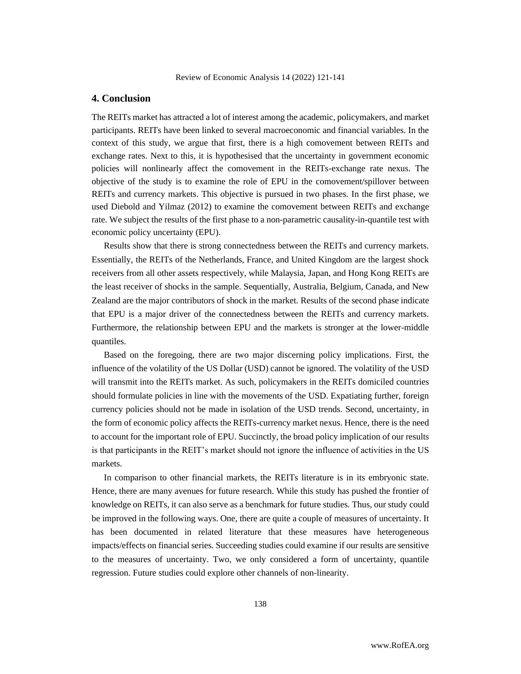# **4. Conclusion**

The REITs market has attracted a lot of interest among the academic, policymakers, and market participants. REITs have been linked to several macroeconomic and financial variables. In the context of this study, we argue that first, there is a high comovement between REITs and exchange rates. Next to this, it is hypothesised that the uncertainty in government economic policies will nonlinearly affect the comovement in the REITs-exchange rate nexus. The objective of the study is to examine the role of EPU in the comovement/spillover between REITs and currency markets. This objective is pursued in two phases. In the first phase, we used Diebold and Yilmaz (2012) to examine the comovement between REITs and exchange rate. We subject the results of the first phase to a non-parametric causality-in-quantile test with economic policy uncertainty (EPU).

Results show that there is strong connectedness between the REITs and currency markets. Essentially, the REITs of the Netherlands, France, and United Kingdom are the largest shock receivers from all other assets respectively, while Malaysia, Japan, and Hong Kong REITs are the least receiver of shocks in the sample. Sequentially, Australia, Belgium, Canada, and New Zealand are the major contributors of shock in the market. Results of the second phase indicate that EPU is a major driver of the connectedness between the REITs and currency markets. Furthermore, the relationship between EPU and the markets is stronger at the lower-middle quantiles.

Based on the foregoing, there are two major discerning policy implications. First, the influence of the volatility of the US Dollar (USD) cannot be ignored. The volatility of the USD will transmit into the REITs market. As such, policymakers in the REITs domiciled countries should formulate policies in line with the movements of the USD. Expatiating further, foreign currency policies should not be made in isolation of the USD trends. Second, uncertainty, in the form of economic policy affects the REITs-currency market nexus. Hence, there is the need to account for the important role of EPU. Succinctly, the broad policy implication of our results is that participants in the REIT's market should not ignore the influence of activities in the US markets.

In comparison to other financial markets, the REITs literature is in its embryonic state. Hence, there are many avenues for future research. While this study has pushed the frontier of knowledge on REITs, it can also serve as a benchmark for future studies. Thus, our study could be improved in the following ways. One, there are quite a couple of measures of uncertainty. It has been documented in related literature that these measures have heterogeneous impacts/effects on financial series. Succeeding studies could examine if our results are sensitive to the measures of uncertainty. Two, we only considered a form of uncertainty, quantile regression. Future studies could explore other channels of non-linearity.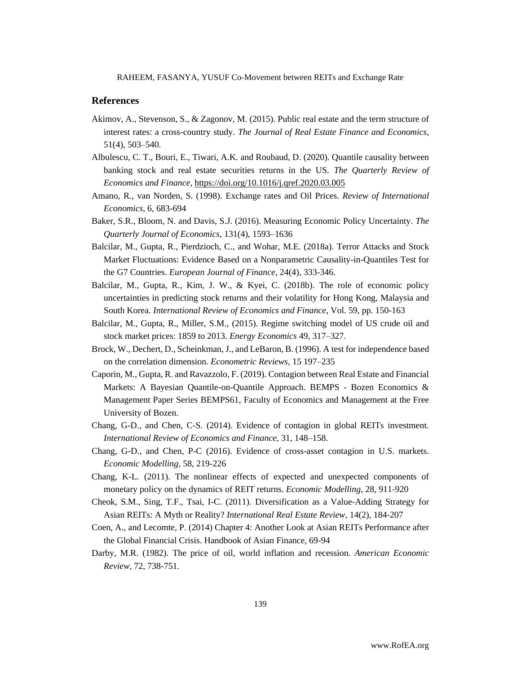### **References**

- Akimov, A., Stevenson, S., & Zagonov, M. (2015). Public real estate and the term structure of interest rates: a cross-country study. *The Journal of Real Estate Finance and Economics*, 51(4), 503–540.
- Albulescu, C. T., Bouri, E., Tiwari, A.K. and Roubaud, D. (2020). Quantile causality between banking stock and real estate securities returns in the US. *The Quarterly Review of Economics and Finance*[, https://doi.org/10.1016/j.qref.2020.03.005](https://doi.org/10.1016/j.qref.2020.03.005)
- Amano, R., van Norden, S. (1998). Exchange rates and Oil Prices. *Review of International Economics*, 6, 683-694
- Baker, S.R., Bloom, N. and Davis, S.J. (2016). Measuring Economic Policy Uncertainty. *The Quarterly Journal of Economics*, 131(4), 1593–1636
- Balcilar, M., Gupta, R., Pierdzioch, C., and Wohar, M.E. (2018a). Terror Attacks and Stock Market Fluctuations: Evidence Based on a Nonparametric Causality-in-Quantiles Test for the G7 Countries. *European Journal of Finance*, 24(4), 333-346.
- Balcilar, M., Gupta, R., Kim, J. W., & Kyei, C. (2018b). The role of economic policy uncertainties in predicting stock returns and their volatility for Hong Kong, Malaysia and South Korea. *International Review of Economics and Finance*, Vol. 59, pp. 150-163
- Balcilar, M., Gupta, R., Miller, S.M., (2015). Regime switching model of US crude oil and stock market prices: 1859 to 2013. *Energy Economics* 49, 317–327.
- Brock, W., Dechert, D., Scheinkman, J., and LeBaron, B. (1996). A test for independence based on the correlation dimension. *Econometric Reviews*, 15 197–235
- Caporin, M., Gupta, R. and Ravazzolo, F. (2019). Contagion between Real Estate and Financial Markets: A Bayesian Quantile-on-Quantile Approach. BEMPS - Bozen Economics & Management Paper Series BEMPS61, Faculty of Economics and Management at the Free University of Bozen.
- Chang, G-D., and Chen, C-S. (2014). Evidence of contagion in global REITs investment. *International Review of Economics and Finance*, 31, 148–158.
- Chang, G-D., and Chen, P-C (2016). Evidence of cross-asset contagion in U.S. markets. *Economic Modelling,* 58, 219-226
- Chang, K-L. (2011). The nonlinear effects of expected and unexpected components of monetary policy on the dynamics of REIT returns. *Economic Modelling*, 28, 911-920
- Cheok, S.M., Sing, T.F., Tsai, I-C. (2011). Diversification as a Value-Adding Strategy for Asian REITs: A Myth or Reality? *International Real Estate Review*, 14(2), 184-207
- Coen, A., and Lecomte, P. (2014) Chapter 4: Another Look at Asian REITs Performance after the Global Financial Crisis. Handbook of Asian Finance, 69-94
- Darby, M.R. (1982). The price of oil, world inflation and recession. *American Economic Review*, 72, 738-751.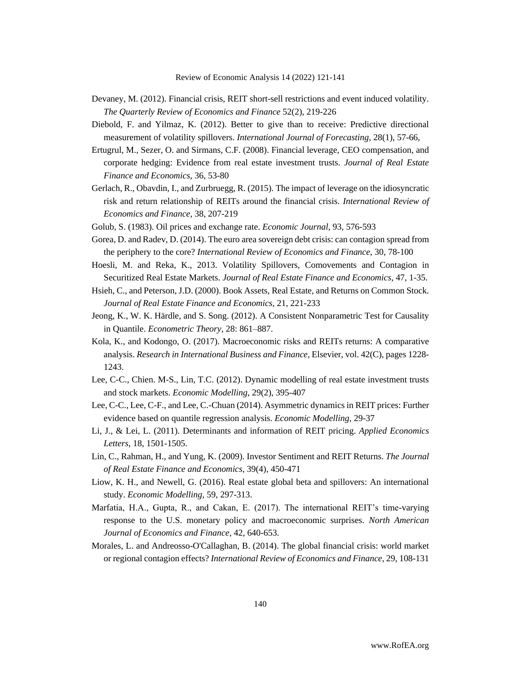- Devaney, M. (2012). Financial crisis, REIT short-sell restrictions and event induced volatility. *The Quarterly Review of Economics and Finance* 52(2), 219-226
- Diebold, F. and Yilmaz, K. (2012). Better to give than to receive: Predictive directional measurement of volatility spillovers. *International Journal of Forecasting*, 28(1), 57-66,
- Ertugrul, M., Sezer, O. and Sirmans, C.F. (2008). Financial leverage, CEO compensation, and corporate hedging: Evidence from real estate investment trusts. *Journal of Real Estate Finance and Economics*, 36, 53-80
- Gerlach, R., Obavdin, I., and Zurbruegg, R. (2015). The impact of leverage on the idiosyncratic risk and return relationship of REITs around the financial crisis. *International Review of Economics and Finance*, 38, 207-219
- Golub, S. (1983). Oil prices and exchange rate. *Economic Journal*, 93, 576-593
- Gorea, D. and Radev, D. (2014). The euro area sovereign debt crisis: can contagion spread from the periphery to the core? *International Review of Economics and Finance*, 30, 78-100
- Hoesli, M. and Reka, K., 2013. Volatility Spillovers, Comovements and Contagion in Securitized Real Estate Markets. *Journal of Real Estate Finance and Economics*, 47, 1-35.
- Hsieh, C., and Peterson, J.D. (2000). Book Assets, Real Estate, and Returns on Common Stock. *Journal of Real Estate Finance and Economics*, 21, 221-233
- Jeong, K., W. K. Härdle, and S. Song. (2012). A Consistent Nonparametric Test for Causality in Quantile. *Econometric Theory*, 28: 861–887.
- Kola, K., and Kodongo, O. (2017). Macroeconomic risks and REITs returns: A comparative analysis. *Research in International Business and Finance*, Elsevier, vol. 42(C), pages 1228- 1243.
- Lee, C-C., Chien. M-S., Lin, T.C. (2012). Dynamic modelling of real estate investment trusts and stock markets. *Economic Modelling*, 29(2), 395-407
- Lee, C-C., Lee, C-F., and Lee, C.-Chuan (2014). Asymmetric dynamics in REIT prices: Further evidence based on quantile regression analysis. *Economic Modelling*, 29-37
- Li, J., & Lei, L. (2011). Determinants and information of REIT pricing. *Applied Economics Letters*, 18, 1501-1505.
- Lin, C., Rahman, H., and Yung, K. (2009). Investor Sentiment and REIT Returns. *The Journal of Real Estate Finance and Economics*, 39(4), 450-471
- Liow, K. H., and Newell, G. (2016). Real estate global beta and spillovers: An international study. *Economic Modelling*, 59, 297-313.
- Marfatia, H.A., Gupta, R., and Cakan, E. (2017). The international REIT's time-varying response to the U.S. monetary policy and macroeconomic surprises. *North American Journal of Economics and Finance*, 42, 640-653.
- Morales, L. and Andreosso-O'Callaghan, B. (2014). The global financial crisis: world market or regional contagion effects? *International Review of Economics and Finance*, 29, 108-131